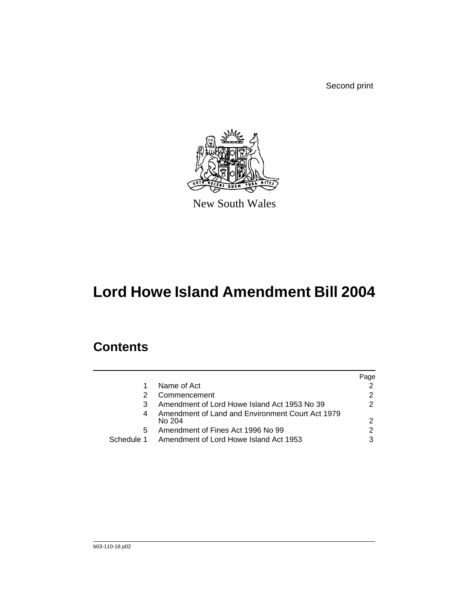Second print



New South Wales

# **Lord Howe Island Amendment Bill 2004**

## **Contents**

|            |                                                            | Page |
|------------|------------------------------------------------------------|------|
|            | Name of Act                                                |      |
|            | Commencement                                               |      |
| 3          | Amendment of Lord Howe Island Act 1953 No 39               |      |
| 4          | Amendment of Land and Environment Court Act 1979<br>No 204 |      |
| 5          | Amendment of Fines Act 1996 No 99                          |      |
| Schedule 1 | Amendment of Lord Howe Island Act 1953                     |      |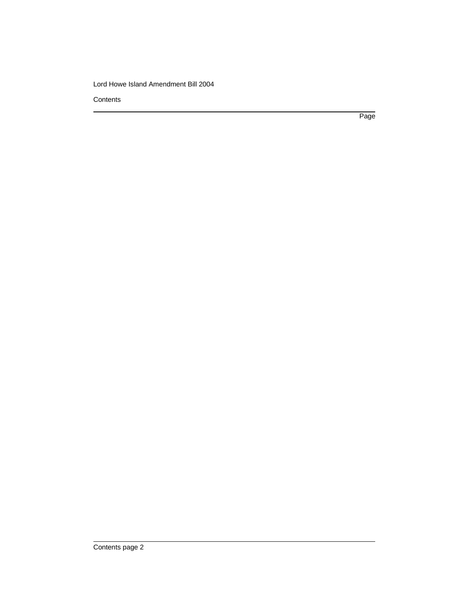**Contents** 

Page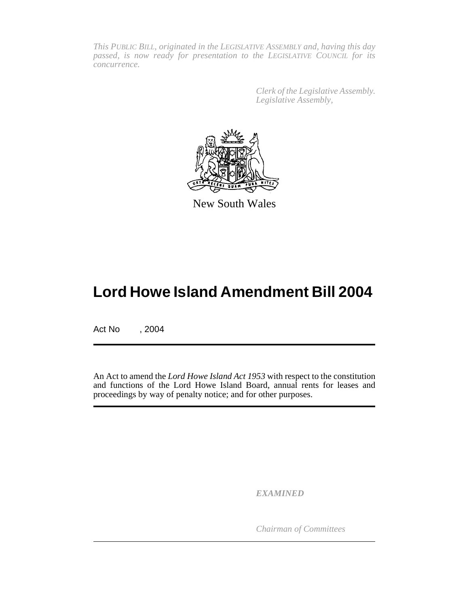*This PUBLIC BILL, originated in the LEGISLATIVE ASSEMBLY and, having this day passed, is now ready for presentation to the LEGISLATIVE COUNCIL for its concurrence.*

> *Clerk of the Legislative Assembly. Legislative Assembly,*



New South Wales

# **Lord Howe Island Amendment Bill 2004**

Act No , 2004

An Act to amend the *Lord Howe Island Act 1953* with respect to the constitution and functions of the Lord Howe Island Board, annual rents for leases and proceedings by way of penalty notice; and for other purposes.

*EXAMINED*

*Chairman of Committees*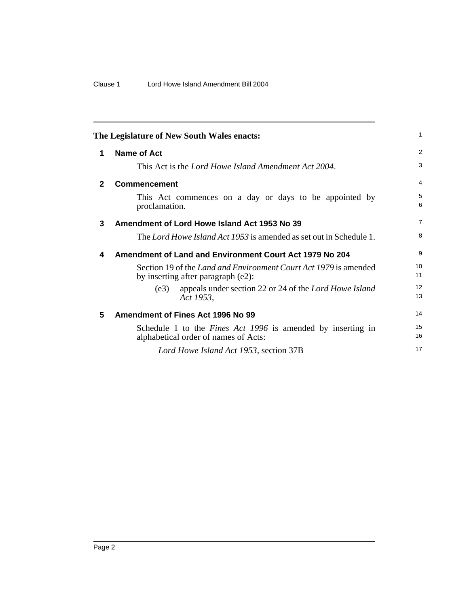<span id="page-3-4"></span><span id="page-3-3"></span><span id="page-3-2"></span><span id="page-3-1"></span><span id="page-3-0"></span>

|              | The Legislature of New South Wales enacts:                                                                 | 1              |
|--------------|------------------------------------------------------------------------------------------------------------|----------------|
| 1            | <b>Name of Act</b>                                                                                         | 2              |
|              | This Act is the <i>Lord Howe Island Amendment Act 2004</i> .                                               | 3              |
| $\mathbf{2}$ | <b>Commencement</b>                                                                                        | 4              |
|              | This Act commences on a day or days to be appointed by<br>proclamation.                                    | 5<br>6         |
| 3            | Amendment of Lord Howe Island Act 1953 No 39                                                               | $\overline{7}$ |
|              | The Lord Howe Island Act 1953 is amended as set out in Schedule 1.                                         | 8              |
| 4            | Amendment of Land and Environment Court Act 1979 No 204                                                    | 9              |
|              | Section 19 of the Land and Environment Court Act 1979 is amended<br>by inserting after paragraph (e2):     | 10<br>11       |
|              | appeals under section 22 or 24 of the Lord Howe Island<br>(e3)<br>Act 1953,                                | 12<br>13       |
| 5            | Amendment of Fines Act 1996 No 99                                                                          | 14             |
|              | Schedule 1 to the <i>Fines Act 1996</i> is amended by inserting in<br>alphabetical order of names of Acts: | 15<br>16       |
|              | Lord Howe Island Act 1953, section 37B                                                                     | 17             |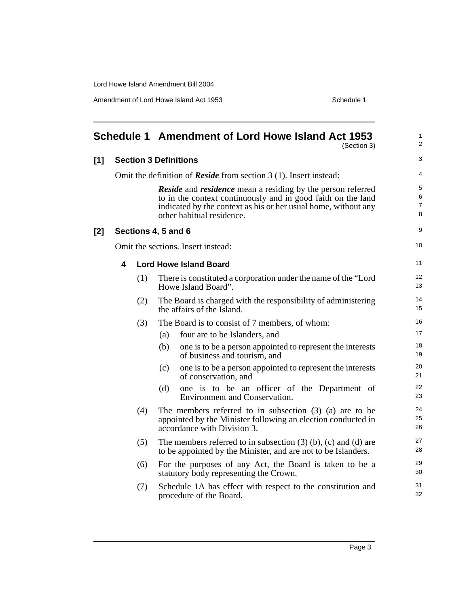$\hat{\boldsymbol{\beta}}$ 

<span id="page-4-0"></span>

|       |   |     | Schedule 1 Amendment of Lord Howe Island Act 1953<br>(Section 3)                                                                                                                                                           | $\mathbf{1}$<br>$\overline{2}$ |
|-------|---|-----|----------------------------------------------------------------------------------------------------------------------------------------------------------------------------------------------------------------------------|--------------------------------|
| $[1]$ |   |     | <b>Section 3 Definitions</b>                                                                                                                                                                                               | 3                              |
|       |   |     | Omit the definition of <b>Reside</b> from section $3(1)$ . Insert instead:                                                                                                                                                 | 4                              |
|       |   |     | Reside and residence mean a residing by the person referred<br>to in the context continuously and in good faith on the land<br>indicated by the context as his or her usual home, without any<br>other habitual residence. | 5<br>6<br>$\overline{7}$<br>8  |
| $[2]$ |   |     | Sections 4, 5 and 6                                                                                                                                                                                                        | 9                              |
|       |   |     | Omit the sections. Insert instead:                                                                                                                                                                                         | 10                             |
|       | 4 |     | <b>Lord Howe Island Board</b>                                                                                                                                                                                              | 11                             |
|       |   | (1) | There is constituted a corporation under the name of the "Lord"<br>Howe Island Board".                                                                                                                                     | 12<br>13                       |
|       |   | (2) | The Board is charged with the responsibility of administering<br>the affairs of the Island.                                                                                                                                | 14<br>15                       |
|       |   | (3) | The Board is to consist of 7 members, of whom:                                                                                                                                                                             | 16                             |
|       |   |     | four are to be Islanders, and<br>(a)                                                                                                                                                                                       | 17                             |
|       |   |     | one is to be a person appointed to represent the interests<br>(b)<br>of business and tourism, and                                                                                                                          | 18<br>19                       |
|       |   |     | one is to be a person appointed to represent the interests<br>(c)<br>of conservation, and                                                                                                                                  | 20<br>21                       |
|       |   |     | (d)<br>one is to be an officer of the Department of<br><b>Environment and Conservation.</b>                                                                                                                                | 22<br>23                       |
|       |   | (4) | The members referred to in subsection $(3)$ $(a)$ are to be<br>appointed by the Minister following an election conducted in<br>accordance with Division 3.                                                                 | 24<br>25<br>26                 |
|       |   | (5) | The members referred to in subsection $(3)$ (b), (c) and (d) are<br>to be appointed by the Minister, and are not to be Islanders.                                                                                          | 27<br>28                       |
|       |   | (6) | For the purposes of any Act, the Board is taken to be a<br>statutory body representing the Crown.                                                                                                                          | 29<br>30                       |
|       |   | (7) | Schedule 1A has effect with respect to the constitution and<br>procedure of the Board.                                                                                                                                     | 31<br>32                       |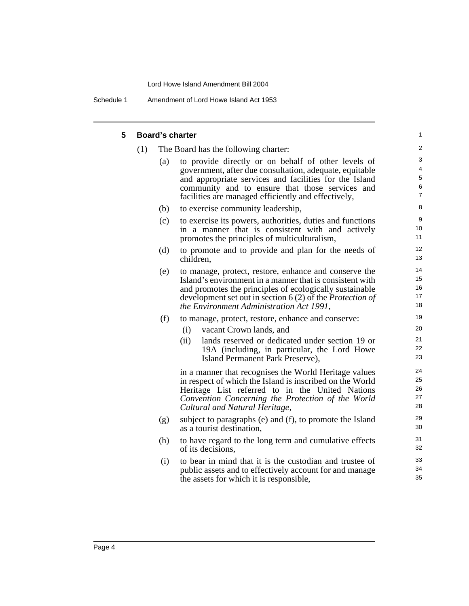Schedule 1 Amendment of Lord Howe Island Act 1953

### **5 Board's charter**

| 5 |     |     | <b>Board's charter</b>                                                                                                                                                                                                                                                                        | $\mathbf{1}$                                    |
|---|-----|-----|-----------------------------------------------------------------------------------------------------------------------------------------------------------------------------------------------------------------------------------------------------------------------------------------------|-------------------------------------------------|
|   | (1) |     | The Board has the following charter:                                                                                                                                                                                                                                                          | 2                                               |
|   |     | (a) | to provide directly or on behalf of other levels of<br>government, after due consultation, adequate, equitable<br>and appropriate services and facilities for the Island<br>community and to ensure that those services and<br>facilities are managed efficiently and effectively,            | 3<br>$\overline{4}$<br>5<br>6<br>$\overline{7}$ |
|   |     | (b) | to exercise community leadership,                                                                                                                                                                                                                                                             | 8                                               |
|   |     | (c) | to exercise its powers, authorities, duties and functions<br>in a manner that is consistent with and actively<br>promotes the principles of multiculturalism,                                                                                                                                 | 9<br>10<br>11                                   |
|   |     | (d) | to promote and to provide and plan for the needs of<br>children,                                                                                                                                                                                                                              | 12<br>13                                        |
|   |     | (e) | to manage, protect, restore, enhance and conserve the<br>Island's environment in a manner that is consistent with<br>and promotes the principles of ecologically sustainable<br>development set out in section $6(2)$ of the <i>Protection of</i><br>the Environment Administration Act 1991, | 14<br>15<br>16<br>17<br>18                      |
|   |     | (f) | to manage, protect, restore, enhance and conserve:                                                                                                                                                                                                                                            | 19                                              |
|   |     |     | (i)<br>vacant Crown lands, and                                                                                                                                                                                                                                                                | 20                                              |
|   |     |     | (ii)<br>lands reserved or dedicated under section 19 or<br>19A (including, in particular, the Lord Howe<br>Island Permanent Park Preserve),                                                                                                                                                   | 21<br>22<br>23                                  |
|   |     |     | in a manner that recognises the World Heritage values<br>in respect of which the Island is inscribed on the World<br>Heritage List referred to in the United Nations<br>Convention Concerning the Protection of the World<br>Cultural and Natural Heritage,                                   | 24<br>25<br>26<br>27<br>28                      |
|   |     | (g) | subject to paragraphs (e) and (f), to promote the Island<br>as a tourist destination,                                                                                                                                                                                                         | 29<br>30                                        |
|   |     | (h) | to have regard to the long term and cumulative effects<br>of its decisions,                                                                                                                                                                                                                   | 31<br>32                                        |
|   |     | (i) | to bear in mind that it is the custodian and trustee of<br>public assets and to effectively account for and manage<br>the assets for which it is responsible,                                                                                                                                 | 33<br>34<br>35                                  |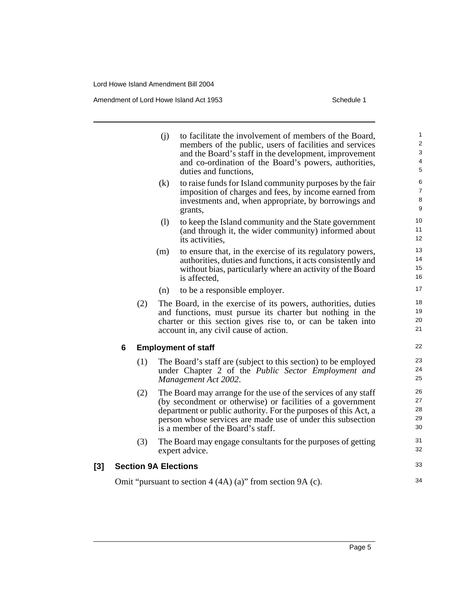|       |   |     | (i)<br>to facilitate the involvement of members of the Board,<br>members of the public, users of facilities and services<br>and the Board's staff in the development, improvement<br>and co-ordination of the Board's powers, authorities,<br>duties and functions,                                 | 1<br>$\overline{2}$<br>3<br>4<br>5 |
|-------|---|-----|-----------------------------------------------------------------------------------------------------------------------------------------------------------------------------------------------------------------------------------------------------------------------------------------------------|------------------------------------|
|       |   |     | (k)<br>to raise funds for Island community purposes by the fair<br>imposition of charges and fees, by income earned from<br>investments and, when appropriate, by borrowings and<br>grants,                                                                                                         | 6<br>$\overline{7}$<br>8<br>9      |
|       |   |     | (1)<br>to keep the Island community and the State government<br>(and through it, the wider community) informed about<br>its activities,                                                                                                                                                             | 10<br>11<br>12                     |
|       |   |     | to ensure that, in the exercise of its regulatory powers,<br>(m)<br>authorities, duties and functions, it acts consistently and<br>without bias, particularly where an activity of the Board<br>is affected,                                                                                        | 13<br>14<br>15<br>16               |
|       |   |     | to be a responsible employer.<br>(n)                                                                                                                                                                                                                                                                | 17                                 |
|       |   | (2) | The Board, in the exercise of its powers, authorities, duties<br>and functions, must pursue its charter but nothing in the<br>charter or this section gives rise to, or can be taken into<br>account in, any civil cause of action.                                                                 | 18<br>19<br>20<br>21               |
|       | 6 |     | <b>Employment of staff</b>                                                                                                                                                                                                                                                                          | 22                                 |
|       |   | (1) | The Board's staff are (subject to this section) to be employed<br>under Chapter 2 of the <i>Public Sector Employment and</i><br>Management Act 2002.                                                                                                                                                | 23<br>24<br>25                     |
|       |   | (2) | The Board may arrange for the use of the services of any staff<br>(by secondment or otherwise) or facilities of a government<br>department or public authority. For the purposes of this Act, a<br>person whose services are made use of under this subsection<br>is a member of the Board's staff. | 26<br>27<br>28<br>29<br>30         |
|       |   | (3) | The Board may engage consultants for the purposes of getting<br>expert advice.                                                                                                                                                                                                                      | 31<br>32                           |
| $[3]$ |   |     | <b>Section 9A Elections</b>                                                                                                                                                                                                                                                                         | 33                                 |
|       |   |     | Omit "pursuant to section 4 (4A) (a)" from section 9A (c).                                                                                                                                                                                                                                          | 34                                 |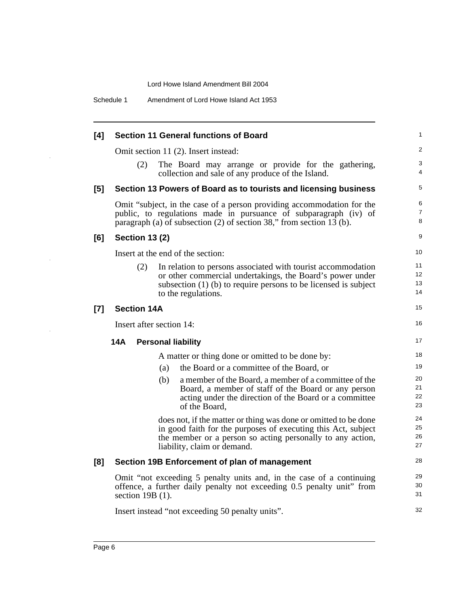Schedule 1 Amendment of Lord Howe Island Act 1953

| [4]   | <b>Section 11 General functions of Board</b>                                                                                                                                                                                  | 1                    |  |
|-------|-------------------------------------------------------------------------------------------------------------------------------------------------------------------------------------------------------------------------------|----------------------|--|
|       | Omit section 11 (2). Insert instead:                                                                                                                                                                                          | $\overline{2}$       |  |
|       | (2)<br>The Board may arrange or provide for the gathering,<br>collection and sale of any produce of the Island.                                                                                                               | 3<br>4               |  |
| [5]   | Section 13 Powers of Board as to tourists and licensing business                                                                                                                                                              | 5                    |  |
|       | Omit "subject, in the case of a person providing accommodation for the<br>public, to regulations made in pursuance of subparagraph (iv) of<br>paragraph (a) of subsection $(2)$ of section 38," from section 13 (b).          | 6<br>7<br>8          |  |
| [6]   | <b>Section 13 (2)</b>                                                                                                                                                                                                         | 9                    |  |
|       | Insert at the end of the section:                                                                                                                                                                                             | 10                   |  |
|       | (2)<br>In relation to persons associated with tourist accommodation<br>or other commercial undertakings, the Board's power under<br>subsection $(1)$ (b) to require persons to be licensed is subject<br>to the regulations.  | 11<br>12<br>13<br>14 |  |
| $[7]$ | <b>Section 14A</b>                                                                                                                                                                                                            | 15                   |  |
|       | Insert after section 14:                                                                                                                                                                                                      | 16                   |  |
|       | 14A<br><b>Personal liability</b>                                                                                                                                                                                              | 17                   |  |
|       | A matter or thing done or omitted to be done by:                                                                                                                                                                              | 18                   |  |
|       | the Board or a committee of the Board, or<br>(a)                                                                                                                                                                              | 19                   |  |
|       | (b)<br>a member of the Board, a member of a committee of the<br>Board, a member of staff of the Board or any person<br>acting under the direction of the Board or a committee<br>of the Board,                                | 20<br>21<br>22<br>23 |  |
|       | does not, if the matter or thing was done or omitted to be done<br>in good faith for the purposes of executing this Act, subject<br>the member or a person so acting personally to any action,<br>liability, claim or demand. | 24<br>25<br>26<br>27 |  |
| [8]   | Section 19B Enforcement of plan of management                                                                                                                                                                                 | 28                   |  |
|       | Omit "not exceeding 5 penalty units and, in the case of a continuing<br>offence, a further daily penalty not exceeding 0.5 penalty unit" from<br>section $19B(1)$ .                                                           |                      |  |
|       | Insert instead "not exceeding 50 penalty units".                                                                                                                                                                              | 32                   |  |
|       |                                                                                                                                                                                                                               |                      |  |

 $\overline{\phantom{a}}$ 

 $\bar{z}$ 

 $\bar{z}$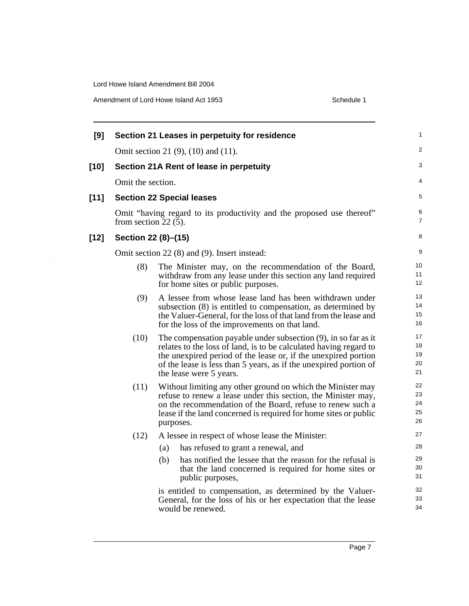$\bar{z}$ 

| [9]    |                        | Section 21 Leases in perpetuity for residence                                                                                                                                                                                                                                                            | $\mathbf{1}$               |
|--------|------------------------|----------------------------------------------------------------------------------------------------------------------------------------------------------------------------------------------------------------------------------------------------------------------------------------------------------|----------------------------|
|        |                        | Omit section 21 (9), (10) and (11).                                                                                                                                                                                                                                                                      | 2                          |
| $[10]$ |                        | Section 21A Rent of lease in perpetuity                                                                                                                                                                                                                                                                  | 3                          |
|        | Omit the section.      |                                                                                                                                                                                                                                                                                                          | 4                          |
| $[11]$ |                        | <b>Section 22 Special leases</b>                                                                                                                                                                                                                                                                         | 5                          |
|        | from section $22(5)$ . | Omit "having regard to its productivity and the proposed use thereof"                                                                                                                                                                                                                                    | 6<br>$\overline{7}$        |
| $[12]$ |                        | Section 22 (8)–(15)                                                                                                                                                                                                                                                                                      | 8                          |
|        |                        | Omit section 22 (8) and (9). Insert instead:                                                                                                                                                                                                                                                             | 9                          |
|        | (8)                    | The Minister may, on the recommendation of the Board,<br>withdraw from any lease under this section any land required<br>for home sites or public purposes.                                                                                                                                              | 10<br>11<br>12             |
|        | (9)                    | A lessee from whose lease land has been withdrawn under<br>subsection (8) is entitled to compensation, as determined by<br>the Valuer-General, for the loss of that land from the lease and<br>for the loss of the improvements on that land.                                                            | 13<br>14<br>15<br>16       |
|        | (10)                   | The compensation payable under subsection $(9)$ , in so far as it<br>relates to the loss of land, is to be calculated having regard to<br>the unexpired period of the lease or, if the unexpired portion<br>of the lease is less than 5 years, as if the unexpired portion of<br>the lease were 5 years. | 17<br>18<br>19<br>20<br>21 |
|        | (11)                   | Without limiting any other ground on which the Minister may<br>refuse to renew a lease under this section, the Minister may,<br>on the recommendation of the Board, refuse to renew such a<br>lease if the land concerned is required for home sites or public<br>purposes.                              | 22<br>23<br>24<br>25<br>26 |
|        | (12)                   | A lessee in respect of whose lease the Minister:                                                                                                                                                                                                                                                         | 27                         |
|        |                        | has refused to grant a renewal, and<br>(a)                                                                                                                                                                                                                                                               | 28                         |
|        |                        | has notified the lessee that the reason for the refusal is<br>(b)<br>that the land concerned is required for home sites or<br>public purposes,                                                                                                                                                           | 29<br>30<br>31             |
|        |                        | is entitled to compensation, as determined by the Valuer-<br>General, for the loss of his or her expectation that the lease<br>would be renewed.                                                                                                                                                         | 32<br>33<br>34             |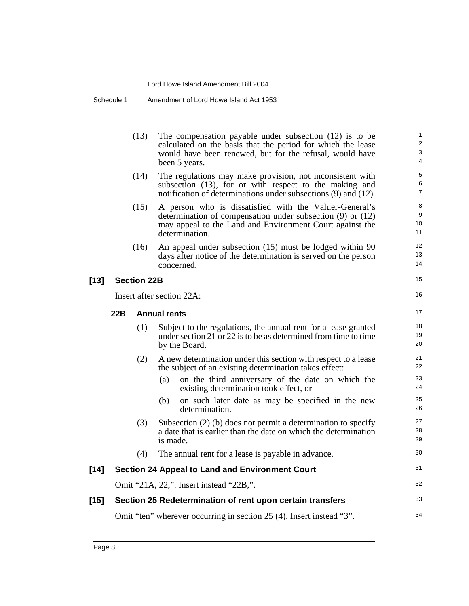Schedule 1 Amendment of Lord Howe Island Act 1953

|        | (13)               | The compensation payable under subsection $(12)$ is to be<br>calculated on the basis that the period for which the lease<br>would have been renewed, but for the refusal, would have<br>been 5 years.  | $\mathbf{1}$<br>$\overline{2}$<br>3<br>$\overline{4}$ |
|--------|--------------------|--------------------------------------------------------------------------------------------------------------------------------------------------------------------------------------------------------|-------------------------------------------------------|
|        | (14)               | The regulations may make provision, not inconsistent with<br>subsection (13), for or with respect to the making and<br>notification of determinations under subsections (9) and (12).                  | 5<br>6<br>$\overline{7}$                              |
|        | (15)               | A person who is dissatisfied with the Valuer-General's<br>determination of compensation under subsection $(9)$ or $(12)$<br>may appeal to the Land and Environment Court against the<br>determination. | 8<br>9<br>10 <sup>1</sup><br>11                       |
|        | (16)               | An appeal under subsection (15) must be lodged within 90<br>days after notice of the determination is served on the person<br>concerned.                                                               | 12 <sup>2</sup><br>13<br>14                           |
| $[13]$ | <b>Section 22B</b> |                                                                                                                                                                                                        | 15                                                    |
|        |                    | Insert after section 22A:                                                                                                                                                                              | 16                                                    |
|        | 22B                | <b>Annual rents</b>                                                                                                                                                                                    | 17                                                    |
|        | (1)                | Subject to the regulations, the annual rent for a lease granted<br>under section 21 or 22 is to be as determined from time to time<br>by the Board.                                                    | 18<br>19<br>20                                        |
|        | (2)                | A new determination under this section with respect to a lease<br>the subject of an existing determination takes effect:                                                                               | 21<br>22                                              |
|        |                    | (a)<br>on the third anniversary of the date on which the<br>existing determination took effect, or                                                                                                     | 23<br>24                                              |
|        |                    | on such later date as may be specified in the new<br>(b)<br>determination.                                                                                                                             | 25<br>26                                              |
|        | (3)                | Subsection $(2)$ (b) does not permit a determination to specify<br>a date that is earlier than the date on which the determination<br>is made.                                                         | 27<br>28<br>29                                        |
|        | (4)                | The annual rent for a lease is payable in advance.                                                                                                                                                     | 30                                                    |
| $[14]$ |                    | <b>Section 24 Appeal to Land and Environment Court</b>                                                                                                                                                 | 31                                                    |
|        |                    | Omit "21A, 22,". Insert instead "22B,".                                                                                                                                                                | 32                                                    |
| $[15]$ |                    | Section 25 Redetermination of rent upon certain transfers                                                                                                                                              | 33                                                    |
|        |                    | Omit "ten" wherever occurring in section 25 (4). Insert instead "3".                                                                                                                                   | 34                                                    |

 $\hat{\mathcal{A}}$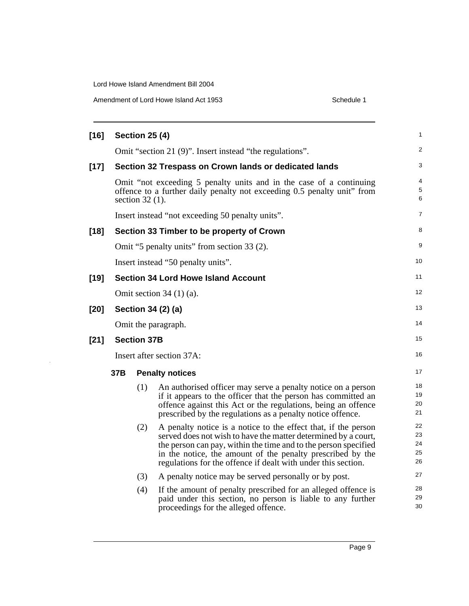$\bar{z}$ 

| $[16]$ |                           | <b>Section 25 (4)</b> |                                                                                                                                                                                                                                                                                                                                    | 1                          |  |
|--------|---------------------------|-----------------------|------------------------------------------------------------------------------------------------------------------------------------------------------------------------------------------------------------------------------------------------------------------------------------------------------------------------------------|----------------------------|--|
|        |                           |                       | Omit "section 21 (9)". Insert instead "the regulations".                                                                                                                                                                                                                                                                           | $\overline{2}$             |  |
| $[17]$ |                           |                       | Section 32 Trespass on Crown lands or dedicated lands                                                                                                                                                                                                                                                                              | 3                          |  |
|        |                           | section $32(1)$ .     | Omit "not exceeding 5 penalty units and in the case of a continuing<br>offence to a further daily penalty not exceeding 0.5 penalty unit" from                                                                                                                                                                                     | 4<br>5<br>6                |  |
|        |                           |                       | Insert instead "not exceeding 50 penalty units".                                                                                                                                                                                                                                                                                   | 7                          |  |
| $[18]$ |                           |                       | Section 33 Timber to be property of Crown                                                                                                                                                                                                                                                                                          | 8                          |  |
|        |                           |                       | Omit "5 penalty units" from section 33 (2).                                                                                                                                                                                                                                                                                        | 9                          |  |
|        |                           |                       | Insert instead "50 penalty units".                                                                                                                                                                                                                                                                                                 | 10                         |  |
| $[19]$ |                           |                       | <b>Section 34 Lord Howe Island Account</b>                                                                                                                                                                                                                                                                                         | 11                         |  |
|        |                           |                       | Omit section $34(1)(a)$ .                                                                                                                                                                                                                                                                                                          | 12                         |  |
| $[20]$ |                           |                       | Section 34 (2) (a)                                                                                                                                                                                                                                                                                                                 | 13                         |  |
|        |                           |                       | Omit the paragraph.                                                                                                                                                                                                                                                                                                                | 14                         |  |
| $[21]$ |                           | <b>Section 37B</b>    |                                                                                                                                                                                                                                                                                                                                    | 15                         |  |
|        | Insert after section 37A: |                       |                                                                                                                                                                                                                                                                                                                                    |                            |  |
|        | 37B                       |                       | <b>Penalty notices</b>                                                                                                                                                                                                                                                                                                             | 17                         |  |
|        |                           | (1)                   | An authorised officer may serve a penalty notice on a person<br>if it appears to the officer that the person has committed an<br>offence against this Act or the regulations, being an offence<br>prescribed by the regulations as a penalty notice offence.                                                                       | 18<br>19<br>20<br>21       |  |
|        |                           | (2)                   | A penalty notice is a notice to the effect that, if the person<br>served does not wish to have the matter determined by a court,<br>the person can pay, within the time and to the person specified<br>in the notice, the amount of the penalty prescribed by the<br>regulations for the offence if dealt with under this section. | 22<br>23<br>24<br>25<br>26 |  |
|        |                           | (3)                   | A penalty notice may be served personally or by post.                                                                                                                                                                                                                                                                              | 27                         |  |
|        |                           | (4)                   | If the amount of penalty prescribed for an alleged offence is<br>paid under this section, no person is liable to any further<br>proceedings for the alleged offence.                                                                                                                                                               | 28<br>29<br>30             |  |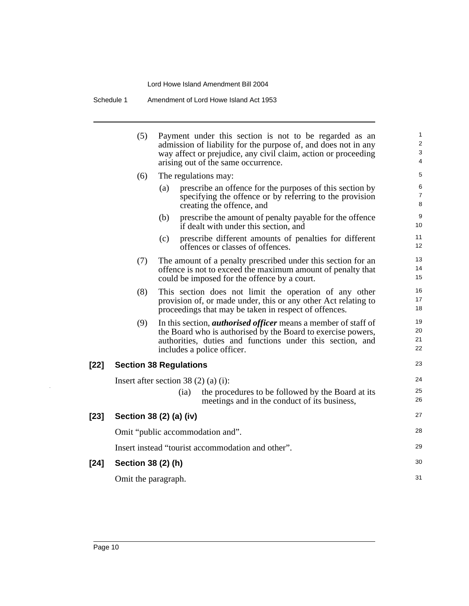Schedule 1 Amendment of Lord Howe Island Act 1953

|        | (5)                 | Payment under this section is not to be regarded as an<br>admission of liability for the purpose of, and does not in any<br>way affect or prejudice, any civil claim, action or proceeding<br>arising out of the same occurrence. | $\mathbf{1}$<br>$\overline{2}$<br>3<br>$\overline{4}$ |
|--------|---------------------|-----------------------------------------------------------------------------------------------------------------------------------------------------------------------------------------------------------------------------------|-------------------------------------------------------|
|        | (6)                 | The regulations may:                                                                                                                                                                                                              | 5                                                     |
|        |                     | prescribe an offence for the purposes of this section by<br>(a)<br>specifying the offence or by referring to the provision<br>creating the offence, and                                                                           | 6<br>$\overline{7}$<br>8                              |
|        |                     | (b)<br>prescribe the amount of penalty payable for the offence<br>if dealt with under this section, and                                                                                                                           | 9<br>10                                               |
|        |                     | prescribe different amounts of penalties for different<br>(c)<br>offences or classes of offences.                                                                                                                                 | 11<br>12                                              |
|        | (7)                 | The amount of a penalty prescribed under this section for an<br>offence is not to exceed the maximum amount of penalty that<br>could be imposed for the offence by a court.                                                       | 13<br>14<br>15                                        |
|        | (8)                 | This section does not limit the operation of any other<br>provision of, or made under, this or any other Act relating to<br>proceedings that may be taken in respect of offences.                                                 | 16<br>17<br>18                                        |
|        | (9)                 | In this section, <i>authorised officer</i> means a member of staff of<br>the Board who is authorised by the Board to exercise powers,<br>authorities, duties and functions under this section, and<br>includes a police officer.  | 19<br>20<br>21<br>22                                  |
| [22]   |                     | <b>Section 38 Regulations</b>                                                                                                                                                                                                     | 23                                                    |
|        |                     | Insert after section 38 $(2)$ (a) (i):                                                                                                                                                                                            | 24                                                    |
|        |                     | the procedures to be followed by the Board at its<br>(ia)<br>meetings and in the conduct of its business,                                                                                                                         | 25<br>26                                              |
| $[23]$ |                     | Section 38 (2) (a) (iv)                                                                                                                                                                                                           | 27                                                    |
|        |                     | Omit "public accommodation and".                                                                                                                                                                                                  | 28                                                    |
|        |                     | Insert instead "tourist accommodation and other".                                                                                                                                                                                 | 29                                                    |
| [24]   | Section 38 (2) (h)  |                                                                                                                                                                                                                                   | 30                                                    |
|        | Omit the paragraph. |                                                                                                                                                                                                                                   | 31                                                    |
|        |                     |                                                                                                                                                                                                                                   |                                                       |

 $\bar{\gamma}$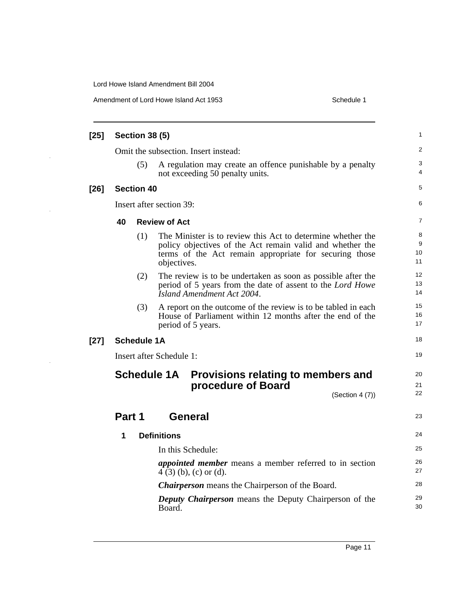$\overline{\phantom{a}}$ 

 $\ddot{\phantom{0}}$ 

 $\bar{z}$ 

| $[25]$ |        | <b>Section 38 (5)</b> |                                                                                                                                                                                                   |
|--------|--------|-----------------------|---------------------------------------------------------------------------------------------------------------------------------------------------------------------------------------------------|
|        |        |                       | Omit the subsection. Insert instead:                                                                                                                                                              |
|        |        | (5)                   | A regulation may create an offence punishable by a penalty<br>not exceeding 50 penalty units.                                                                                                     |
| $[26]$ |        | <b>Section 40</b>     |                                                                                                                                                                                                   |
|        |        |                       | Insert after section 39:                                                                                                                                                                          |
|        | 40     |                       | <b>Review of Act</b>                                                                                                                                                                              |
|        |        | (1)                   | The Minister is to review this Act to determine whether the<br>policy objectives of the Act remain valid and whether the<br>terms of the Act remain appropriate for securing those<br>objectives. |
|        |        | (2)                   | The review is to be undertaken as soon as possible after the<br>period of 5 years from the date of assent to the <i>Lord Howe</i><br>Island Amendment Act 2004.                                   |
|        |        | (3)                   | A report on the outcome of the review is to be tabled in each<br>House of Parliament within 12 months after the end of the<br>period of 5 years.                                                  |
| $[27]$ |        | <b>Schedule 1A</b>    |                                                                                                                                                                                                   |
|        |        |                       | Insert after Schedule 1:                                                                                                                                                                          |
|        |        |                       | <b>Schedule 1A</b><br>Provisions relating to members and<br>procedure of Board                                                                                                                    |
|        |        |                       | (Section 4 (7))                                                                                                                                                                                   |
|        | Part 1 |                       | <b>General</b>                                                                                                                                                                                    |
|        | 1      |                       | <b>Definitions</b>                                                                                                                                                                                |
|        |        |                       | In this Schedule:                                                                                                                                                                                 |
|        |        |                       | <i>appointed member</i> means a member referred to in section<br>$4(3)$ (b), (c) or (d).                                                                                                          |
|        |        |                       |                                                                                                                                                                                                   |
|        |        |                       | Chairperson means the Chairperson of the Board.                                                                                                                                                   |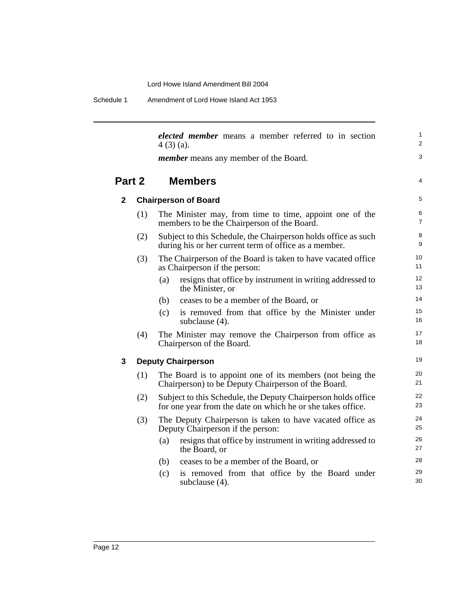Schedule 1 Amendment of Lord Howe Island Act 1953

|              |     | elected member means a member referred to in section<br>$4(3)(a)$ .                                                          | 1<br>$\overline{2}$ |  |  |
|--------------|-----|------------------------------------------------------------------------------------------------------------------------------|---------------------|--|--|
|              |     | <i>member</i> means any member of the Board.                                                                                 | 3                   |  |  |
| Part 2       |     | <b>Members</b>                                                                                                               | 4                   |  |  |
| $\mathbf{2}$ |     | <b>Chairperson of Board</b>                                                                                                  |                     |  |  |
|              | (1) | The Minister may, from time to time, appoint one of the<br>members to be the Chairperson of the Board.                       | 6<br>7              |  |  |
|              | (2) | Subject to this Schedule, the Chairperson holds office as such<br>during his or her current term of office as a member.      | 8<br>9              |  |  |
|              | (3) | The Chairperson of the Board is taken to have vacated office<br>as Chairperson if the person:                                | 10<br>11            |  |  |
|              |     | resigns that office by instrument in writing addressed to<br>(a)<br>the Minister, or                                         | 12<br>13            |  |  |
|              |     | ceases to be a member of the Board, or<br>(b)                                                                                | 14                  |  |  |
|              |     | is removed from that office by the Minister under<br>(c)<br>subclause (4).                                                   | 15<br>16            |  |  |
|              | (4) | The Minister may remove the Chairperson from office as<br>Chairperson of the Board.                                          | 17<br>18            |  |  |
| 3            |     | <b>Deputy Chairperson</b>                                                                                                    | 19                  |  |  |
|              | (1) | The Board is to appoint one of its members (not being the<br>Chairperson) to be Deputy Chairperson of the Board.             | 20<br>21            |  |  |
|              | (2) | Subject to this Schedule, the Deputy Chairperson holds office<br>for one year from the date on which he or she takes office. | 22<br>23            |  |  |
|              | (3) | The Deputy Chairperson is taken to have vacated office as<br>Deputy Chairperson if the person:                               | 24<br>25            |  |  |
|              |     | resigns that office by instrument in writing addressed to<br>(a)<br>the Board, or                                            | 26<br>27            |  |  |
|              |     | ceases to be a member of the Board, or<br>(b)                                                                                | 28                  |  |  |
|              |     | is removed from that office by the Board under<br>(c)<br>subclause $(4)$ .                                                   | 29<br>30            |  |  |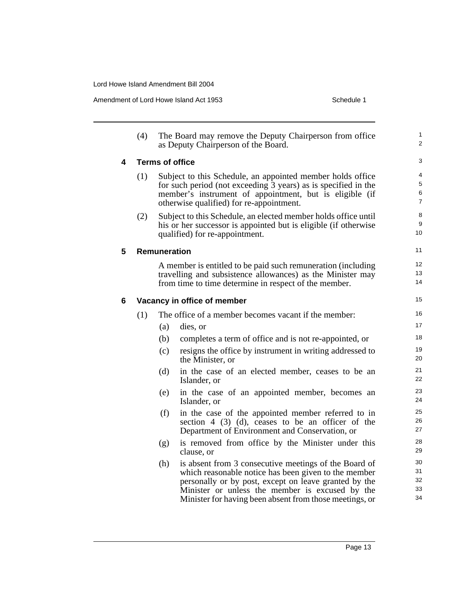|   | (4)                                                                                                                                                                                                                                                                                                                                                                                                                                                                                                                                                                                                                                                                                                                                                                                                                                                                                                                                                                                                                                                                                                                                                                                                                                                                                                                                                                                                                                                             | The Board may remove the Deputy Chairperson from office<br>as Deputy Chairperson of the Board.                                                                      | $\mathbf{1}$<br>2             |
|---|-----------------------------------------------------------------------------------------------------------------------------------------------------------------------------------------------------------------------------------------------------------------------------------------------------------------------------------------------------------------------------------------------------------------------------------------------------------------------------------------------------------------------------------------------------------------------------------------------------------------------------------------------------------------------------------------------------------------------------------------------------------------------------------------------------------------------------------------------------------------------------------------------------------------------------------------------------------------------------------------------------------------------------------------------------------------------------------------------------------------------------------------------------------------------------------------------------------------------------------------------------------------------------------------------------------------------------------------------------------------------------------------------------------------------------------------------------------------|---------------------------------------------------------------------------------------------------------------------------------------------------------------------|-------------------------------|
| 4 | <b>Terms of office</b><br>(1)<br>Subject to this Schedule, an appointed member holds office<br>for such period (not exceeding 3 years) as is specified in the<br>member's instrument of appointment, but is eligible (if<br>otherwise qualified) for re-appointment.<br>Subject to this Schedule, an elected member holds office until<br>(2)<br>his or her successor is appointed but is eligible (if otherwise<br>qualified) for re-appointment.<br>Remuneration<br>A member is entitled to be paid such remuneration (including<br>travelling and subsistence allowances) as the Minister may<br>from time to time determine in respect of the member.<br>Vacancy in office of member<br>The office of a member becomes vacant if the member:<br>(1)<br>(a)<br>dies, or<br>(b)<br>completes a term of office and is not re-appointed, or<br>(c)<br>resigns the office by instrument in writing addressed to<br>the Minister, or<br>in the case of an elected member, ceases to be an<br>(d)<br>Islander, or<br>in the case of an appointed member, becomes an<br>(e)<br>Islander, or<br>in the case of the appointed member referred to in<br>(f)<br>section $4$ (3) (d), ceases to be an officer of the<br>Department of Environment and Conservation, or<br>is removed from office by the Minister under this<br>(g)<br>clause, or<br>is absent from 3 consecutive meetings of the Board of<br>(h)<br>which reasonable notice has been given to the member | 3                                                                                                                                                                   |                               |
|   |                                                                                                                                                                                                                                                                                                                                                                                                                                                                                                                                                                                                                                                                                                                                                                                                                                                                                                                                                                                                                                                                                                                                                                                                                                                                                                                                                                                                                                                                 |                                                                                                                                                                     | 4<br>5<br>6<br>$\overline{7}$ |
|   |                                                                                                                                                                                                                                                                                                                                                                                                                                                                                                                                                                                                                                                                                                                                                                                                                                                                                                                                                                                                                                                                                                                                                                                                                                                                                                                                                                                                                                                                 |                                                                                                                                                                     | 8<br>9<br>10                  |
| 5 |                                                                                                                                                                                                                                                                                                                                                                                                                                                                                                                                                                                                                                                                                                                                                                                                                                                                                                                                                                                                                                                                                                                                                                                                                                                                                                                                                                                                                                                                 |                                                                                                                                                                     | 11                            |
|   |                                                                                                                                                                                                                                                                                                                                                                                                                                                                                                                                                                                                                                                                                                                                                                                                                                                                                                                                                                                                                                                                                                                                                                                                                                                                                                                                                                                                                                                                 |                                                                                                                                                                     | 12<br>13<br>14                |
| 6 |                                                                                                                                                                                                                                                                                                                                                                                                                                                                                                                                                                                                                                                                                                                                                                                                                                                                                                                                                                                                                                                                                                                                                                                                                                                                                                                                                                                                                                                                 |                                                                                                                                                                     | 15                            |
|   |                                                                                                                                                                                                                                                                                                                                                                                                                                                                                                                                                                                                                                                                                                                                                                                                                                                                                                                                                                                                                                                                                                                                                                                                                                                                                                                                                                                                                                                                 |                                                                                                                                                                     | 16                            |
|   |                                                                                                                                                                                                                                                                                                                                                                                                                                                                                                                                                                                                                                                                                                                                                                                                                                                                                                                                                                                                                                                                                                                                                                                                                                                                                                                                                                                                                                                                 |                                                                                                                                                                     | 17                            |
|   |                                                                                                                                                                                                                                                                                                                                                                                                                                                                                                                                                                                                                                                                                                                                                                                                                                                                                                                                                                                                                                                                                                                                                                                                                                                                                                                                                                                                                                                                 |                                                                                                                                                                     | 18                            |
|   |                                                                                                                                                                                                                                                                                                                                                                                                                                                                                                                                                                                                                                                                                                                                                                                                                                                                                                                                                                                                                                                                                                                                                                                                                                                                                                                                                                                                                                                                 |                                                                                                                                                                     | 19<br>20                      |
|   |                                                                                                                                                                                                                                                                                                                                                                                                                                                                                                                                                                                                                                                                                                                                                                                                                                                                                                                                                                                                                                                                                                                                                                                                                                                                                                                                                                                                                                                                 |                                                                                                                                                                     | 21<br>22                      |
|   |                                                                                                                                                                                                                                                                                                                                                                                                                                                                                                                                                                                                                                                                                                                                                                                                                                                                                                                                                                                                                                                                                                                                                                                                                                                                                                                                                                                                                                                                 |                                                                                                                                                                     | 23<br>24                      |
|   |                                                                                                                                                                                                                                                                                                                                                                                                                                                                                                                                                                                                                                                                                                                                                                                                                                                                                                                                                                                                                                                                                                                                                                                                                                                                                                                                                                                                                                                                 |                                                                                                                                                                     | 25<br>26<br>27                |
|   |                                                                                                                                                                                                                                                                                                                                                                                                                                                                                                                                                                                                                                                                                                                                                                                                                                                                                                                                                                                                                                                                                                                                                                                                                                                                                                                                                                                                                                                                 |                                                                                                                                                                     | 28<br>29                      |
|   |                                                                                                                                                                                                                                                                                                                                                                                                                                                                                                                                                                                                                                                                                                                                                                                                                                                                                                                                                                                                                                                                                                                                                                                                                                                                                                                                                                                                                                                                 | personally or by post, except on leave granted by the<br>Minister or unless the member is excused by the<br>Minister for having been absent from those meetings, or | 30<br>31<br>32<br>33<br>34    |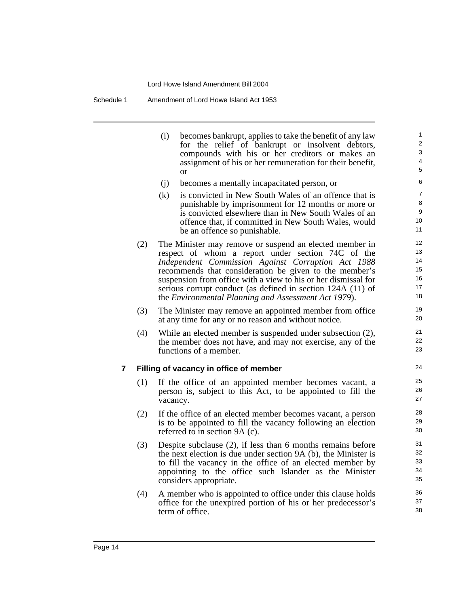Schedule 1 Amendment of Lord Howe Island Act 1953

|   |     | becomes bankrupt, applies to take the benefit of any law<br>(i)<br>for the relief of bankrupt or insolvent debtors,<br>compounds with his or her creditors or makes an<br>assignment of his or her remuneration for their benefit,<br><b>or</b> | $\mathbf{1}$<br>$\overline{2}$<br>3<br>4<br>5 |
|---|-----|-------------------------------------------------------------------------------------------------------------------------------------------------------------------------------------------------------------------------------------------------|-----------------------------------------------|
|   |     | becomes a mentally incapacitated person, or<br>(j)                                                                                                                                                                                              | 6                                             |
|   |     | is convicted in New South Wales of an offence that is<br>(k)                                                                                                                                                                                    | $\overline{7}$                                |
|   |     | punishable by imprisonment for 12 months or more or                                                                                                                                                                                             | 8<br>9                                        |
|   |     | is convicted elsewhere than in New South Wales of an<br>offence that, if committed in New South Wales, would                                                                                                                                    | 10                                            |
|   |     | be an offence so punishable.                                                                                                                                                                                                                    | 11                                            |
|   | (2) | The Minister may remove or suspend an elected member in                                                                                                                                                                                         | 12                                            |
|   |     | respect of whom a report under section 74C of the                                                                                                                                                                                               | 13<br>14                                      |
|   |     | Independent Commission Against Corruption Act 1988<br>recommends that consideration be given to the member's                                                                                                                                    | 15                                            |
|   |     | suspension from office with a view to his or her dismissal for                                                                                                                                                                                  | 16                                            |
|   |     | serious corrupt conduct (as defined in section 124A (11) of                                                                                                                                                                                     | 17                                            |
|   |     | the Environmental Planning and Assessment Act 1979).                                                                                                                                                                                            | 18                                            |
|   | (3) | The Minister may remove an appointed member from office<br>at any time for any or no reason and without notice.                                                                                                                                 | 19<br>20                                      |
|   | (4) | While an elected member is suspended under subsection (2),<br>the member does not have, and may not exercise, any of the<br>functions of a member.                                                                                              | 21<br>22<br>23                                |
| 7 |     | Filling of vacancy in office of member                                                                                                                                                                                                          | 24                                            |
|   | (1) | If the office of an appointed member becomes vacant, a<br>person is, subject to this Act, to be appointed to fill the<br>vacancy.                                                                                                               | 25<br>26<br>27                                |
|   | (2) | If the office of an elected member becomes vacant, a person<br>is to be appointed to fill the vacancy following an election<br>referred to in section 9A (c).                                                                                   | 28<br>29<br>30                                |
|   | (3) | Despite subclause $(2)$ , if less than 6 months remains before                                                                                                                                                                                  | 31                                            |
|   |     | the next election is due under section 9A (b), the Minister is                                                                                                                                                                                  | 32                                            |
|   |     | to fill the vacancy in the office of an elected member by                                                                                                                                                                                       | 33<br>34                                      |
|   |     | appointing to the office such Islander as the Minister<br>considers appropriate.                                                                                                                                                                | 35                                            |
|   | (4) | A member who is appointed to office under this clause holds                                                                                                                                                                                     | 36                                            |
|   |     | office for the unexpired portion of his or her predecessor's<br>term of office.                                                                                                                                                                 | 37<br>38                                      |
|   |     |                                                                                                                                                                                                                                                 |                                               |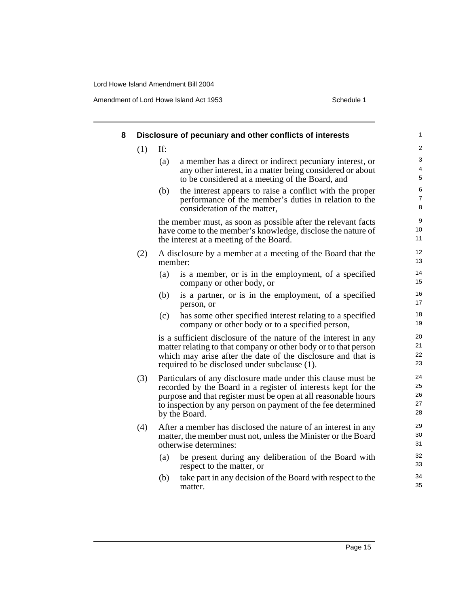| 8 | Disclosure of pecuniary and other conflicts of interests |                                                                                                                                                                                                                                                     |                                                                                                                                                                                                                                                                                  |                                                  |  |  |
|---|----------------------------------------------------------|-----------------------------------------------------------------------------------------------------------------------------------------------------------------------------------------------------------------------------------------------------|----------------------------------------------------------------------------------------------------------------------------------------------------------------------------------------------------------------------------------------------------------------------------------|--------------------------------------------------|--|--|
|   | (1)                                                      | If:                                                                                                                                                                                                                                                 |                                                                                                                                                                                                                                                                                  | $\overline{2}$                                   |  |  |
|   |                                                          | (a)                                                                                                                                                                                                                                                 | a member has a direct or indirect pecuniary interest, or<br>any other interest, in a matter being considered or about<br>to be considered at a meeting of the Board, and                                                                                                         | $\ensuremath{\mathsf{3}}$<br>$\overline{4}$<br>5 |  |  |
|   |                                                          | (b)                                                                                                                                                                                                                                                 | the interest appears to raise a conflict with the proper<br>performance of the member's duties in relation to the<br>consideration of the matter,                                                                                                                                | 6<br>$\overline{7}$<br>8                         |  |  |
|   |                                                          | the member must, as soon as possible after the relevant facts<br>have come to the member's knowledge, disclose the nature of<br>the interest at a meeting of the Board.                                                                             |                                                                                                                                                                                                                                                                                  |                                                  |  |  |
|   | (2)                                                      |                                                                                                                                                                                                                                                     | A disclosure by a member at a meeting of the Board that the<br>member:                                                                                                                                                                                                           | 12<br>13                                         |  |  |
|   |                                                          | (a)                                                                                                                                                                                                                                                 | is a member, or is in the employment, of a specified<br>company or other body, or                                                                                                                                                                                                | 14<br>15                                         |  |  |
|   |                                                          | (b)                                                                                                                                                                                                                                                 | is a partner, or is in the employment, of a specified<br>person, or                                                                                                                                                                                                              | 16<br>17                                         |  |  |
|   |                                                          | (c)                                                                                                                                                                                                                                                 | has some other specified interest relating to a specified<br>company or other body or to a specified person,                                                                                                                                                                     | 18<br>19                                         |  |  |
|   |                                                          | is a sufficient disclosure of the nature of the interest in any<br>matter relating to that company or other body or to that person<br>which may arise after the date of the disclosure and that is<br>required to be disclosed under subclause (1). |                                                                                                                                                                                                                                                                                  |                                                  |  |  |
|   | (3)                                                      |                                                                                                                                                                                                                                                     | Particulars of any disclosure made under this clause must be<br>recorded by the Board in a register of interests kept for the<br>purpose and that register must be open at all reasonable hours<br>to inspection by any person on payment of the fee determined<br>by the Board. | 24<br>25<br>26<br>27<br>28                       |  |  |
|   | (4)                                                      |                                                                                                                                                                                                                                                     | After a member has disclosed the nature of an interest in any<br>matter, the member must not, unless the Minister or the Board<br>otherwise determines:                                                                                                                          | 29<br>30<br>31                                   |  |  |
|   |                                                          | (a)                                                                                                                                                                                                                                                 | be present during any deliberation of the Board with<br>respect to the matter, or                                                                                                                                                                                                | 32<br>33                                         |  |  |
|   |                                                          | (b)                                                                                                                                                                                                                                                 | take part in any decision of the Board with respect to the<br>matter.                                                                                                                                                                                                            | 34<br>35                                         |  |  |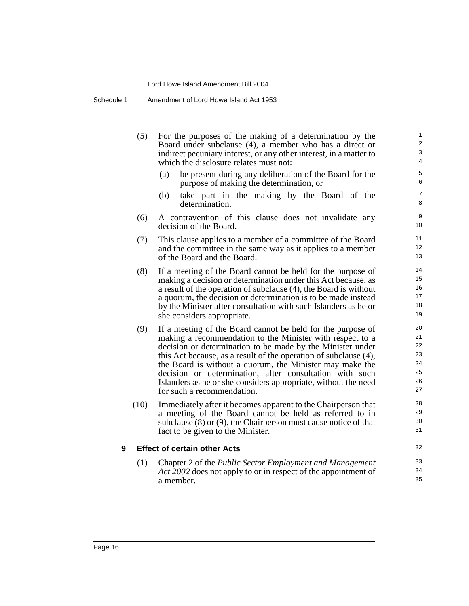Schedule 1 Amendment of Lord Howe Island Act 1953

(5) For the purposes of the making of a determination by the Board under subclause (4), a member who has a direct or indirect pecuniary interest, or any other interest, in a matter to which the disclosure relates must not: (a) be present during any deliberation of the Board for the purpose of making the determination, or (b) take part in the making by the Board of the determination. (6) A contravention of this clause does not invalidate any decision of the Board. (7) This clause applies to a member of a committee of the Board and the committee in the same way as it applies to a member of the Board and the Board. (8) If a meeting of the Board cannot be held for the purpose of making a decision or determination under this Act because, as a result of the operation of subclause (4), the Board is without a quorum, the decision or determination is to be made instead by the Minister after consultation with such Islanders as he or she considers appropriate. (9) If a meeting of the Board cannot be held for the purpose of making a recommendation to the Minister with respect to a decision or determination to be made by the Minister under this Act because, as a result of the operation of subclause (4), the Board is without a quorum, the Minister may make the decision or determination, after consultation with such Islanders as he or she considers appropriate, without the need for such a recommendation. (10) Immediately after it becomes apparent to the Chairperson that a meeting of the Board cannot be held as referred to in subclause (8) or (9), the Chairperson must cause notice of that fact to be given to the Minister. **9 Effect of certain other Acts** (1) Chapter 2 of the *Public Sector Employment and Management Act 2002* does not apply to or in respect of the appointment of a member. 1  $\overline{2}$ 3 4 5 6 7 8 9 10 11 12 13 14 15 16 17 18 19 20 21 22 23 24 25 26 27 28 29 30 31 32 33 34 35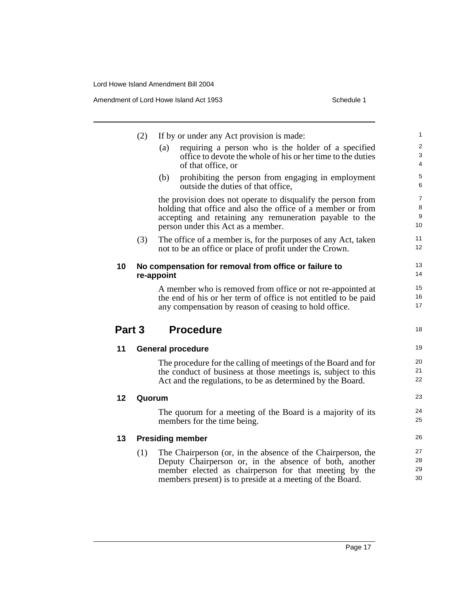| (2)<br>If by or under any Act provision is made:<br>requiring a person who is the holder of a specified<br>(a)<br>office to devote the whole of his or her time to the duties<br>of that office, or<br>prohibiting the person from engaging in employment<br>(b)<br>outside the duties of that office,<br>the provision does not operate to disqualify the person from<br>holding that office and also the office of a member or from<br>accepting and retaining any remuneration payable to the<br>person under this Act as a member.<br>(3)<br>The office of a member is, for the purposes of any Act, taken<br>not to be an office or place of profit under the Crown.<br>No compensation for removal from office or failure to<br>10<br>re-appoint<br>A member who is removed from office or not re-appointed at<br>the end of his or her term of office is not entitled to be paid<br>any compensation by reason of ceasing to hold office.<br>Part 3<br><b>Procedure</b><br>11<br><b>General procedure</b><br>The procedure for the calling of meetings of the Board and for<br>the conduct of business at those meetings is, subject to this<br>Act and the regulations, to be as determined by the Board.<br>12<br>Quorum<br>The quorum for a meeting of the Board is a majority of its |     |                                                                                                                                                                                                                                             |                                       |  |  |  |
|-------------------------------------------------------------------------------------------------------------------------------------------------------------------------------------------------------------------------------------------------------------------------------------------------------------------------------------------------------------------------------------------------------------------------------------------------------------------------------------------------------------------------------------------------------------------------------------------------------------------------------------------------------------------------------------------------------------------------------------------------------------------------------------------------------------------------------------------------------------------------------------------------------------------------------------------------------------------------------------------------------------------------------------------------------------------------------------------------------------------------------------------------------------------------------------------------------------------------------------------------------------------------------------------------|-----|---------------------------------------------------------------------------------------------------------------------------------------------------------------------------------------------------------------------------------------------|---------------------------------------|--|--|--|
|                                                                                                                                                                                                                                                                                                                                                                                                                                                                                                                                                                                                                                                                                                                                                                                                                                                                                                                                                                                                                                                                                                                                                                                                                                                                                                 |     |                                                                                                                                                                                                                                             | $\mathbf{1}$                          |  |  |  |
|                                                                                                                                                                                                                                                                                                                                                                                                                                                                                                                                                                                                                                                                                                                                                                                                                                                                                                                                                                                                                                                                                                                                                                                                                                                                                                 |     |                                                                                                                                                                                                                                             | $\overline{2}$<br>3<br>$\overline{4}$ |  |  |  |
|                                                                                                                                                                                                                                                                                                                                                                                                                                                                                                                                                                                                                                                                                                                                                                                                                                                                                                                                                                                                                                                                                                                                                                                                                                                                                                 |     |                                                                                                                                                                                                                                             | 5<br>6                                |  |  |  |
|                                                                                                                                                                                                                                                                                                                                                                                                                                                                                                                                                                                                                                                                                                                                                                                                                                                                                                                                                                                                                                                                                                                                                                                                                                                                                                 |     |                                                                                                                                                                                                                                             | $\overline{7}$<br>8<br>9<br>10        |  |  |  |
|                                                                                                                                                                                                                                                                                                                                                                                                                                                                                                                                                                                                                                                                                                                                                                                                                                                                                                                                                                                                                                                                                                                                                                                                                                                                                                 |     |                                                                                                                                                                                                                                             | 11<br>12                              |  |  |  |
|                                                                                                                                                                                                                                                                                                                                                                                                                                                                                                                                                                                                                                                                                                                                                                                                                                                                                                                                                                                                                                                                                                                                                                                                                                                                                                 |     |                                                                                                                                                                                                                                             |                                       |  |  |  |
|                                                                                                                                                                                                                                                                                                                                                                                                                                                                                                                                                                                                                                                                                                                                                                                                                                                                                                                                                                                                                                                                                                                                                                                                                                                                                                 |     |                                                                                                                                                                                                                                             | 15<br>16<br>17                        |  |  |  |
|                                                                                                                                                                                                                                                                                                                                                                                                                                                                                                                                                                                                                                                                                                                                                                                                                                                                                                                                                                                                                                                                                                                                                                                                                                                                                                 |     |                                                                                                                                                                                                                                             | 18                                    |  |  |  |
|                                                                                                                                                                                                                                                                                                                                                                                                                                                                                                                                                                                                                                                                                                                                                                                                                                                                                                                                                                                                                                                                                                                                                                                                                                                                                                 |     |                                                                                                                                                                                                                                             | 19                                    |  |  |  |
|                                                                                                                                                                                                                                                                                                                                                                                                                                                                                                                                                                                                                                                                                                                                                                                                                                                                                                                                                                                                                                                                                                                                                                                                                                                                                                 |     |                                                                                                                                                                                                                                             | 20<br>21<br>22                        |  |  |  |
|                                                                                                                                                                                                                                                                                                                                                                                                                                                                                                                                                                                                                                                                                                                                                                                                                                                                                                                                                                                                                                                                                                                                                                                                                                                                                                 |     |                                                                                                                                                                                                                                             | 23                                    |  |  |  |
|                                                                                                                                                                                                                                                                                                                                                                                                                                                                                                                                                                                                                                                                                                                                                                                                                                                                                                                                                                                                                                                                                                                                                                                                                                                                                                 |     | members for the time being.                                                                                                                                                                                                                 | 24<br>25                              |  |  |  |
| 13<br><b>Presiding member</b>                                                                                                                                                                                                                                                                                                                                                                                                                                                                                                                                                                                                                                                                                                                                                                                                                                                                                                                                                                                                                                                                                                                                                                                                                                                                   |     |                                                                                                                                                                                                                                             |                                       |  |  |  |
|                                                                                                                                                                                                                                                                                                                                                                                                                                                                                                                                                                                                                                                                                                                                                                                                                                                                                                                                                                                                                                                                                                                                                                                                                                                                                                 | (1) | The Chairperson (or, in the absence of the Chairperson, the<br>Deputy Chairperson or, in the absence of both, another<br>member elected as chairperson for that meeting by the<br>members present) is to preside at a meeting of the Board. | 27<br>28<br>29<br>30                  |  |  |  |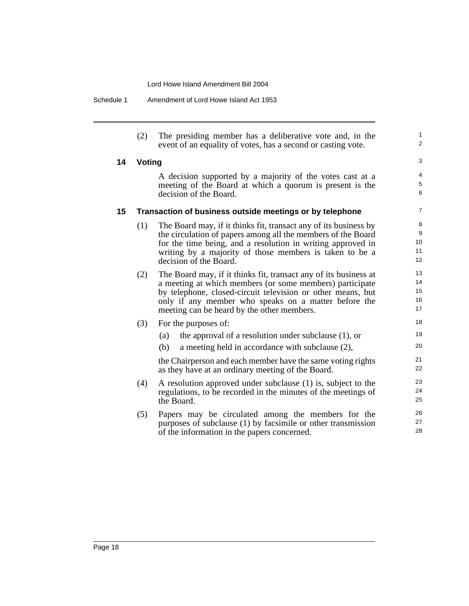Schedule 1 Amendment of Lord Howe Island Act 1953

(2) The presiding member has a deliberative vote and, in the event of an equality of votes, has a second or casting vote. **14 Voting**

1  $\mathfrak{p}$ 

A decision supported by a majority of the votes cast at a meeting of the Board at which a quorum is present is the decision of the Board.

### **15 Transaction of business outside meetings or by telephone**

- (1) The Board may, if it thinks fit, transact any of its business by the circulation of papers among all the members of the Board for the time being, and a resolution in writing approved in writing by a majority of those members is taken to be a decision of the Board.
- (2) The Board may, if it thinks fit, transact any of its business at a meeting at which members (or some members) participate by telephone, closed-circuit television or other means, but only if any member who speaks on a matter before the meeting can be heard by the other members.
- (3) For the purposes of:
	- (a) the approval of a resolution under subclause (1), or
	- (b) a meeting held in accordance with subclause (2),

the Chairperson and each member have the same voting rights as they have at an ordinary meeting of the Board.

- (4) A resolution approved under subclause (1) is, subject to the regulations, to be recorded in the minutes of the meetings of the Board.
- (5) Papers may be circulated among the members for the purposes of subclause (1) by facsimile or other transmission of the information in the papers concerned.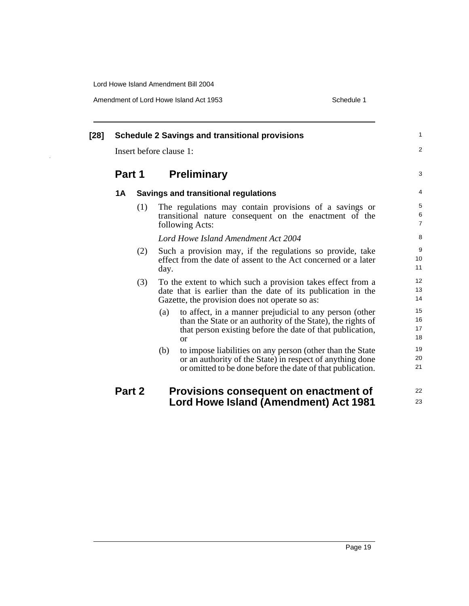$\overline{\phantom{a}}$ 

| <b>Schedule 2 Savings and transitional provisions</b><br>$[28]$<br>Insert before clause 1: |     |                      |                        |                                                                                                                                                                                                                                                                                                                                                                                                                                                                                                                                                                                                                                                                                                                                                                                                                                                                                                                                       |
|--------------------------------------------------------------------------------------------|-----|----------------------|------------------------|---------------------------------------------------------------------------------------------------------------------------------------------------------------------------------------------------------------------------------------------------------------------------------------------------------------------------------------------------------------------------------------------------------------------------------------------------------------------------------------------------------------------------------------------------------------------------------------------------------------------------------------------------------------------------------------------------------------------------------------------------------------------------------------------------------------------------------------------------------------------------------------------------------------------------------------|
|                                                                                            |     |                      |                        |                                                                                                                                                                                                                                                                                                                                                                                                                                                                                                                                                                                                                                                                                                                                                                                                                                                                                                                                       |
| 1Α                                                                                         |     |                      |                        | 4                                                                                                                                                                                                                                                                                                                                                                                                                                                                                                                                                                                                                                                                                                                                                                                                                                                                                                                                     |
|                                                                                            | (1) |                      |                        | 5<br>6<br>$\overline{7}$                                                                                                                                                                                                                                                                                                                                                                                                                                                                                                                                                                                                                                                                                                                                                                                                                                                                                                              |
|                                                                                            |     |                      |                        | 8                                                                                                                                                                                                                                                                                                                                                                                                                                                                                                                                                                                                                                                                                                                                                                                                                                                                                                                                     |
| (2)<br>day.<br>(3)<br>Gazette, the provision does not operate so as:                       |     |                      | 9<br>10<br>11          |                                                                                                                                                                                                                                                                                                                                                                                                                                                                                                                                                                                                                                                                                                                                                                                                                                                                                                                                       |
|                                                                                            |     |                      |                        | 12<br>13<br>14                                                                                                                                                                                                                                                                                                                                                                                                                                                                                                                                                                                                                                                                                                                                                                                                                                                                                                                        |
|                                                                                            |     | (a)<br><sub>or</sub> |                        | 15<br>16<br>17<br>18                                                                                                                                                                                                                                                                                                                                                                                                                                                                                                                                                                                                                                                                                                                                                                                                                                                                                                                  |
|                                                                                            |     |                      |                        | 19<br>20<br>21                                                                                                                                                                                                                                                                                                                                                                                                                                                                                                                                                                                                                                                                                                                                                                                                                                                                                                                        |
|                                                                                            |     |                      |                        | 22<br>23                                                                                                                                                                                                                                                                                                                                                                                                                                                                                                                                                                                                                                                                                                                                                                                                                                                                                                                              |
|                                                                                            |     | Part 2               | following Acts:<br>(b) | <b>Savings and transitional regulations</b><br>The regulations may contain provisions of a savings or<br>transitional nature consequent on the enactment of the<br>Lord Howe Island Amendment Act 2004<br>Such a provision may, if the regulations so provide, take<br>effect from the date of assent to the Act concerned or a later<br>To the extent to which such a provision takes effect from a<br>date that is earlier than the date of its publication in the<br>to affect, in a manner prejudicial to any person (other<br>than the State or an authority of the State), the rights of<br>that person existing before the date of that publication,<br>to impose liabilities on any person (other than the State<br>or an authority of the State) in respect of anything done<br>or omitted to be done before the date of that publication.<br>Provisions consequent on enactment of<br>Lord Howe Island (Amendment) Act 1981 |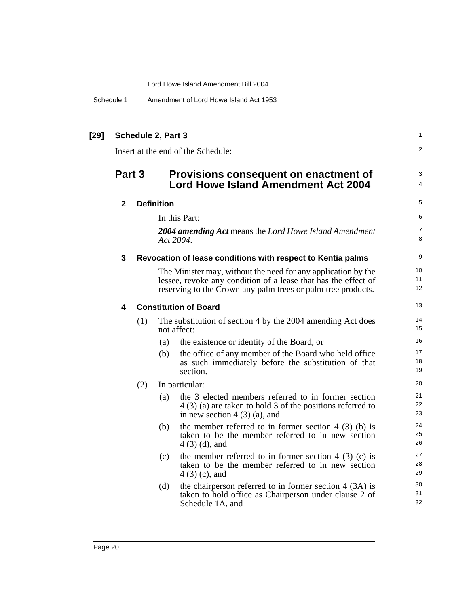Schedule 1 Amendment of Lord Howe Island Act 1953

| $[29]$ | Schedule 2, Part 3                 |     |                   |                                                                                                                                                                                                 |                             |  |
|--------|------------------------------------|-----|-------------------|-------------------------------------------------------------------------------------------------------------------------------------------------------------------------------------------------|-----------------------------|--|
|        | Insert at the end of the Schedule: |     |                   |                                                                                                                                                                                                 |                             |  |
|        | Part 3                             |     |                   | Provisions consequent on enactment of<br>Lord Howe Island Amendment Act 2004                                                                                                                    |                             |  |
|        | $\mathbf{2}$                       |     | <b>Definition</b> |                                                                                                                                                                                                 | 5                           |  |
|        |                                    |     |                   | In this Part:                                                                                                                                                                                   | 6                           |  |
|        |                                    |     |                   | 2004 amending Act means the Lord Howe Island Amendment<br>Act 2004.                                                                                                                             | $\overline{7}$<br>8         |  |
|        | 3                                  |     |                   | Revocation of lease conditions with respect to Kentia palms                                                                                                                                     | 9                           |  |
|        |                                    |     |                   | The Minister may, without the need for any application by the<br>lessee, revoke any condition of a lease that has the effect of<br>reserving to the Crown any palm trees or palm tree products. | 10 <sup>1</sup><br>11<br>12 |  |
|        | 4                                  |     |                   | <b>Constitution of Board</b>                                                                                                                                                                    | 13                          |  |
|        |                                    | (1) |                   | The substitution of section 4 by the 2004 amending Act does<br>not affect:                                                                                                                      | 14<br>15                    |  |
|        |                                    |     | (a)               | the existence or identity of the Board, or                                                                                                                                                      | 16                          |  |
|        |                                    |     | (b)               | the office of any member of the Board who held office<br>as such immediately before the substitution of that<br>section.                                                                        | 17<br>18<br>19              |  |
|        |                                    | (2) |                   | In particular:                                                                                                                                                                                  | 20                          |  |
|        |                                    |     | (a)               | the 3 elected members referred to in former section<br>$4(3)(a)$ are taken to hold 3 of the positions referred to<br>in new section $4(3)(a)$ , and                                             | 21<br>22<br>23              |  |
|        |                                    |     | (b)               | the member referred to in former section $4(3)(b)$ is<br>taken to be the member referred to in new section<br>$4(3)(d)$ , and                                                                   | 24<br>25<br>26              |  |
|        |                                    |     | (c)               | the member referred to in former section $4(3)(c)$ is<br>taken to be the member referred to in new section<br>$4(3)(c)$ , and                                                                   | 27<br>28<br>29              |  |
|        |                                    |     | (d)               | the chairperson referred to in former section $4(3A)$ is<br>taken to hold office as Chairperson under clause 2 of<br>Schedule 1A, and                                                           | 30<br>31<br>32              |  |

 $\bar{z}$